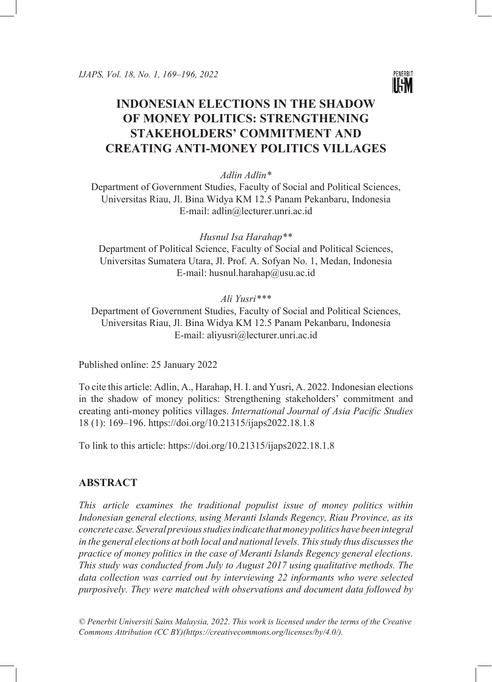

# **INDONESIAN ELECTIONS IN THE SHADOW OF MONEY POLITICS: STRENGTHENING STAKEHOLDERS' COMMITMENT AND CREATING ANTI-MONEY POLITICS VILLAGES**

*Adlin Adlin\**

Department of Government Studies, Faculty of Social and Political Sciences, Universitas Riau, Jl. Bina Widya KM 12.5 Panam Pekanbaru, Indonesia E-mail: adlin@lecturer.unri.ac.id

*Husnul Isa Harahap\*\**

Department of Political Science, Faculty of Social and Political Sciences, Universitas Sumatera Utara, Jl. Prof. A. Sofyan No. 1, Medan, Indonesia E-mail: husnul.harahap@usu.ac.id

*Ali Yusri\*\*\**

Department of Government Studies, Faculty of Social and Political Sciences, Universitas Riau, Jl. Bina Widya KM 12.5 Panam Pekanbaru, Indonesia E-mail: aliyusri@lecturer.unri.ac.id

Published online: 25 January 2022

To cite this article: Adlin, A., Harahap, H. I. and Yusri, A. 2022. Indonesian elections in the shadow of money politics: Strengthening stakeholders' commitment and creating anti-money politics villages. *International Journal of Asia Pacific Studies* 18 (1): 169–196.<https://doi.org/10.21315/ijaps2022.18.1.8>

To link to this article: <https://doi.org/10.21315/ijaps2022.18.1.8>

## **ABSTRACT**

*This article examines the traditional populist issue of money politics within Indonesian general elections, using Meranti Islands Regency, Riau Province, as its concrete case. Several previous studies indicate that money politics have been integral in the general elections at both local and national levels. This study thus discusses the practice of money politics in the case of Meranti Islands Regency general elections. This study was conducted from July to August 2017 using qualitative methods. The data collection was carried out by interviewing 22 informants who were selected purposively. They were matched with observations and document data followed by* 

*© Penerbit Universiti Sains Malaysia, 2022. This work is licensed under the terms of the Creative Commons Attribution (CC BY)(https://creativecommons.org/licenses/by/4.0/).*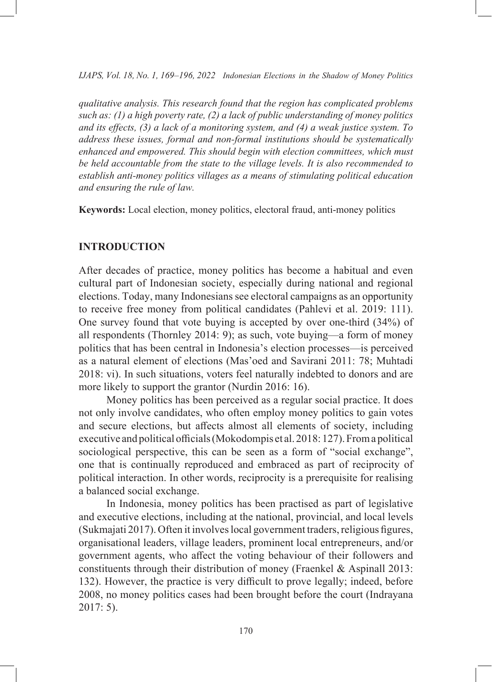*qualitative analysis. This research found that the region has complicated problems such as: (1) a high poverty rate, (2) a lack of public understanding of money politics and its effects, (3) a lack of a monitoring system, and (4) a weak justice system. To address these issues, formal and non-formal institutions should be systematically enhanced and empowered. This should begin with election committees, which must be held accountable from the state to the village levels. It is also recommended to establish anti-money politics villages as a means of stimulating political education and ensuring the rule of law.* 

**Keywords:** Local election, money politics, electoral fraud, anti-money politics

## **INTRODUCTION**

After decades of practice, money politics has become a habitual and even cultural part of Indonesian society, especially during national and regional elections. Today, many Indonesians see electoral campaigns as an opportunity to receive free money from political candidates (Pahlevi et al. 2019: 111). One survey found that vote buying is accepted by over one-third (34%) of all respondents (Thornley 2014: 9); as such, vote buying—a form of money politics that has been central in Indonesia's election processes—is perceived as a natural element of elections (Mas'oed and Savirani 2011: 78; Muhtadi 2018: vi). In such situations, voters feel naturally indebted to donors and are more likely to support the grantor (Nurdin 2016: 16).

Money politics has been perceived as a regular social practice. It does not only involve candidates, who often employ money politics to gain votes and secure elections, but affects almost all elements of society, including executive and political officials (Mokodompis et al. 2018: 127). From a political sociological perspective, this can be seen as a form of "social exchange", one that is continually reproduced and embraced as part of reciprocity of political interaction. In other words, reciprocity is a prerequisite for realising a balanced social exchange.

In Indonesia, money politics has been practised as part of legislative and executive elections, including at the national, provincial, and local levels (Sukmajati 2017). Often it involves local government traders, religious figures, organisational leaders, village leaders, prominent local entrepreneurs, and/or government agents, who affect the voting behaviour of their followers and constituents through their distribution of money (Fraenkel & Aspinall 2013: 132). However, the practice is very difficult to prove legally; indeed, before 2008, no money politics cases had been brought before the court (Indrayana 2017: 5).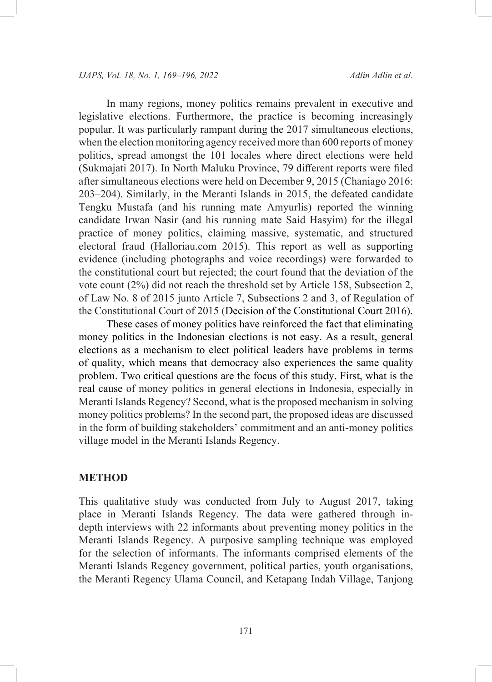In many regions, money politics remains prevalent in executive and legislative elections. Furthermore, the practice is becoming increasingly popular. It was particularly rampant during the 2017 simultaneous elections, when the election monitoring agency received more than 600 reports of money politics, spread amongst the 101 locales where direct elections were held (Sukmajati 2017). In North Maluku Province, 79 different reports were filed after simultaneous elections were held on December 9, 2015 (Chaniago 2016: 203–204). Similarly, in the Meranti Islands in 2015, the defeated candidate Tengku Mustafa (and his running mate Amyurlis) reported the winning candidate Irwan Nasir (and his running mate Said Hasyim) for the illegal practice of money politics, claiming massive, systematic, and structured electoral fraud (Halloriau.com 2015). This report as well as supporting evidence (including photographs and voice recordings) were forwarded to the constitutional court but rejected; the court found that the deviation of the vote count (2%) did not reach the threshold set by Article 158, Subsection 2, of Law No. 8 of 2015 junto Article 7, Subsections 2 and 3, of Regulation of the Constitutional Court of 2015 (Decision of the Constitutional Court 2016).

These cases of money politics have reinforced the fact that eliminating money politics in the Indonesian elections is not easy. As a result, general elections as a mechanism to elect political leaders have problems in terms of quality, which means that democracy also experiences the same quality problem. Two critical questions are the focus of this study. First, what is the real cause of money politics in general elections in Indonesia, especially in Meranti Islands Regency? Second, what is the proposed mechanism in solving money politics problems? In the second part, the proposed ideas are discussed in the form of building stakeholders' commitment and an anti-money politics village model in the Meranti Islands Regency.

# **METHOD**

This qualitative study was conducted from July to August 2017, taking place in Meranti Islands Regency. The data were gathered through indepth interviews with 22 informants about preventing money politics in the Meranti Islands Regency. A purposive sampling technique was employed for the selection of informants. The informants comprised elements of the Meranti Islands Regency government, political parties, youth organisations, the Meranti Regency Ulama Council, and Ketapang Indah Village, Tanjong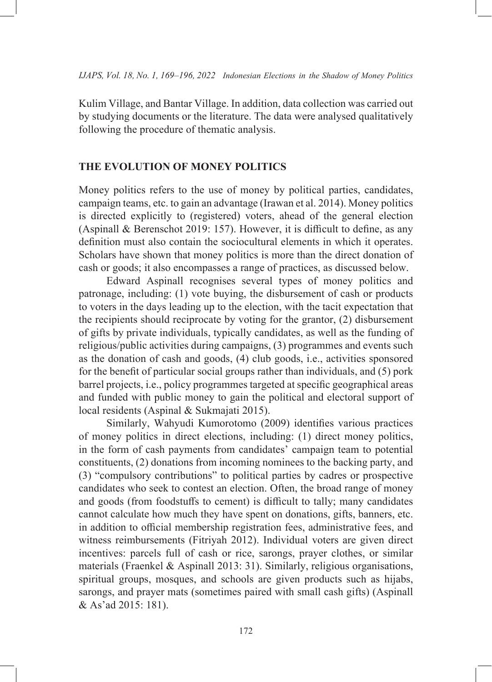Kulim Village, and Bantar Village. In addition, data collection was carried out by studying documents or the literature. The data were analysed qualitatively following the procedure of thematic analysis.

## **THE EVOLUTION OF MONEY POLITICS**

Money politics refers to the use of money by political parties, candidates, campaign teams, etc. to gain an advantage (Irawan et al. 2014). Money politics is directed explicitly to (registered) voters, ahead of the general election (Aspinall & Berenschot 2019: 157). However, it is difficult to define, as any definition must also contain the sociocultural elements in which it operates. Scholars have shown that money politics is more than the direct donation of cash or goods; it also encompasses a range of practices, as discussed below.

Edward Aspinall recognises several types of money politics and patronage, including: (1) vote buying, the disbursement of cash or products to voters in the days leading up to the election, with the tacit expectation that the recipients should reciprocate by voting for the grantor, (2) disbursement of gifts by private individuals, typically candidates, as well as the funding of religious/public activities during campaigns, (3) programmes and events such as the donation of cash and goods, (4) club goods, i.e., activities sponsored for the benefit of particular social groups rather than individuals, and (5) pork barrel projects, i.e., policy programmes targeted at specific geographical areas and funded with public money to gain the political and electoral support of local residents (Aspinal & Sukmajati 2015).

Similarly, Wahyudi Kumorotomo (2009) identifies various practices of money politics in direct elections, including: (1) direct money politics, in the form of cash payments from candidates' campaign team to potential constituents, (2) donations from incoming nominees to the backing party, and (3) "compulsory contributions" to political parties by cadres or prospective candidates who seek to contest an election. Often, the broad range of money and goods (from foodstuffs to cement) is difficult to tally; many candidates cannot calculate how much they have spent on donations, gifts, banners, etc. in addition to official membership registration fees, administrative fees, and witness reimbursements (Fitriyah 2012). Individual voters are given direct incentives: parcels full of cash or rice, sarongs, prayer clothes, or similar materials (Fraenkel & Aspinall 2013: 31). Similarly, religious organisations, spiritual groups, mosques, and schools are given products such as hijabs, sarongs, and prayer mats (sometimes paired with small cash gifts) (Aspinall & As'ad 2015: 181).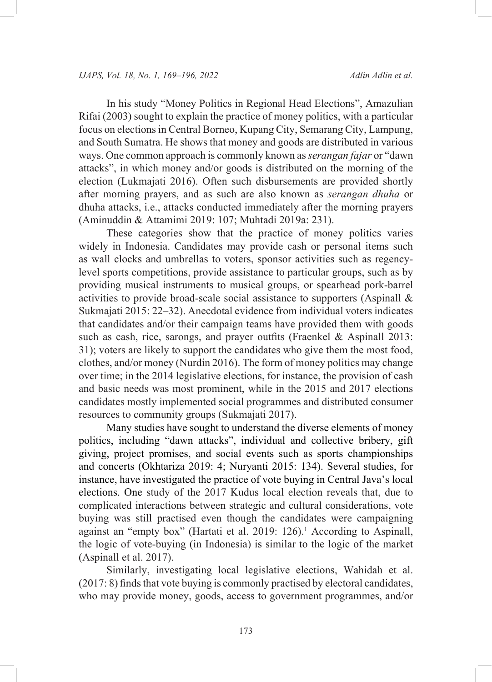In his study "Money Politics in Regional Head Elections", Amazulian Rifai (2003) sought to explain the practice of money politics, with a particular focus on elections in Central Borneo, Kupang City, Semarang City, Lampung, and South Sumatra. He shows that money and goods are distributed in various ways. One common approach is commonly known as *serangan fajar* or "dawn attacks", in which money and/or goods is distributed on the morning of the election (Lukmajati 2016). Often such disbursements are provided shortly after morning prayers, and as such are also known as *serangan dhuha* or dhuha attacks, i.e., attacks conducted immediately after the morning prayers (Aminuddin & Attamimi 2019: 107; Muhtadi 2019a: 231).

These categories show that the practice of money politics varies widely in Indonesia. Candidates may provide cash or personal items such as wall clocks and umbrellas to voters, sponsor activities such as regencylevel sports competitions, provide assistance to particular groups, such as by providing musical instruments to musical groups, or spearhead pork-barrel activities to provide broad-scale social assistance to supporters (Aspinall & Sukmajati 2015: 22–32). Anecdotal evidence from individual voters indicates that candidates and/or their campaign teams have provided them with goods such as cash, rice, sarongs, and prayer outfits (Fraenkel & Aspinall 2013: 31); voters are likely to support the candidates who give them the most food, clothes, and/or money (Nurdin 2016). The form of money politics may change over time; in the 2014 legislative elections, for instance, the provision of cash and basic needs was most prominent, while in the 2015 and 2017 elections candidates mostly implemented social programmes and distributed consumer resources to community groups (Sukmajati 2017).

Many studies have sought to understand the diverse elements of money politics, including "dawn attacks", individual and collective bribery, gift giving, project promises, and social events such as sports championships and concerts (Okhtariza 2019: 4; Nuryanti 2015: 134). Several studies, for instance, have investigated the practice of vote buying in Central Java's local elections. One study of the 2017 Kudus local election reveals that, due to complicated interactions between strategic and cultural considerations, vote buying was still practised even though the candidates were campaigning against an "empty box" (Hartati et al. 2019: 126).<sup>1</sup> According to Aspinall, the logic of vote-buying (in Indonesia) is similar to the logic of the market (Aspinall et al. 2017).

Similarly, investigating local legislative elections, Wahidah et al. (2017: 8) finds that vote buying is commonly practised by electoral candidates, who may provide money, goods, access to government programmes, and/or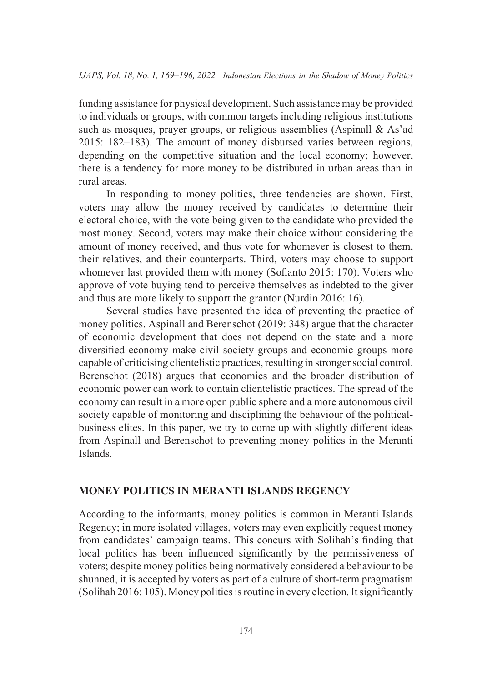funding assistance for physical development. Such assistance may be provided to individuals or groups, with common targets including religious institutions such as mosques, prayer groups, or religious assemblies (Aspinall & As'ad 2015: 182–183). The amount of money disbursed varies between regions, depending on the competitive situation and the local economy; however, there is a tendency for more money to be distributed in urban areas than in rural areas.

In responding to money politics, three tendencies are shown. First, voters may allow the money received by candidates to determine their electoral choice, with the vote being given to the candidate who provided the most money. Second, voters may make their choice without considering the amount of money received, and thus vote for whomever is closest to them, their relatives, and their counterparts. Third, voters may choose to support whomever last provided them with money (Sofianto 2015: 170). Voters who approve of vote buying tend to perceive themselves as indebted to the giver and thus are more likely to support the grantor (Nurdin 2016: 16).

Several studies have presented the idea of preventing the practice of money politics. Aspinall and Berenschot (2019: 348) argue that the character of economic development that does not depend on the state and a more diversified economy make civil society groups and economic groups more capable of criticising clientelistic practices, resulting in stronger social control. Berenschot (2018) argues that economics and the broader distribution of economic power can work to contain clientelistic practices. The spread of the economy can result in a more open public sphere and a more autonomous civil society capable of monitoring and disciplining the behaviour of the politicalbusiness elites. In this paper, we try to come up with slightly different ideas from Aspinall and Berenschot to preventing money politics in the Meranti Islands.

#### **MONEY POLITICS IN MERANTI ISLANDS REGENCY**

According to the informants, money politics is common in Meranti Islands Regency; in more isolated villages, voters may even explicitly request money from candidates' campaign teams. This concurs with Solihah's finding that local politics has been influenced significantly by the permissiveness of voters; despite money politics being normatively considered a behaviour to be shunned, it is accepted by voters as part of a culture of short-term pragmatism (Solihah 2016: 105). Money politics is routine in every election. It significantly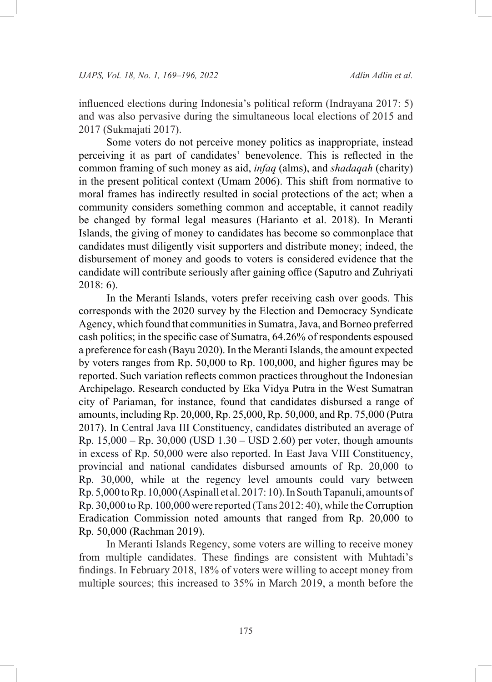influenced elections during Indonesia's political reform (Indrayana 2017: 5) and was also pervasive during the simultaneous local elections of 2015 and 2017 (Sukmajati 2017).

Some voters do not perceive money politics as inappropriate, instead perceiving it as part of candidates' benevolence. This is reflected in the common framing of such money as aid, *infaq* (alms), and *shadaqah* (charity) in the present political context (Umam 2006). This shift from normative to moral frames has indirectly resulted in social protections of the act; when a community considers something common and acceptable, it cannot readily be changed by formal legal measures (Harianto et al. 2018). In Meranti Islands, the giving of money to candidates has become so commonplace that candidates must diligently visit supporters and distribute money; indeed, the disbursement of money and goods to voters is considered evidence that the candidate will contribute seriously after gaining office (Saputro and Zuhriyati 2018: 6).

In the Meranti Islands, voters prefer receiving cash over goods. This corresponds with the 2020 survey by the Election and Democracy Syndicate Agency, which found that communities in Sumatra, Java, and Borneo preferred cash politics; in the specific case of Sumatra, 64.26% of respondents espoused a preference for cash (Bayu 2020). In the Meranti Islands, the amount expected by voters ranges from Rp. 50,000 to Rp. 100,000, and higher figures may be reported. Such variation reflects common practices throughout the Indonesian Archipelago. Research conducted by Eka Vidya Putra in the West Sumatran city of Pariaman, for instance, found that candidates disbursed a range of amounts, including Rp. 20,000, Rp. 25,000, Rp. 50,000, and Rp. 75,000 (Putra 2017). In Central Java III Constituency, candidates distributed an average of Rp. 15,000 – Rp. 30,000 (USD 1.30 – USD 2.60) per voter, though amounts in excess of Rp. 50,000 were also reported. In East Java VIII Constituency, provincial and national candidates disbursed amounts of Rp. 20,000 to Rp. 30,000, while at the regency level amounts could vary between Rp. 5,000 to Rp.10,000 (Aspinall et al. 2017: 10). In South Tapanuli, amounts of Rp. 30,000 to Rp. 100,000 were reported (Tans 2012: 40), while the Corruption Eradication Commission noted amounts that ranged from Rp. 20,000 to Rp. 50,000 (Rachman 2019).

In Meranti Islands Regency, some voters are willing to receive money from multiple candidates. These findings are consistent with Muhtadi's findings. In February 2018, 18% of voters were willing to accept money from multiple sources; this increased to 35% in March 2019, a month before the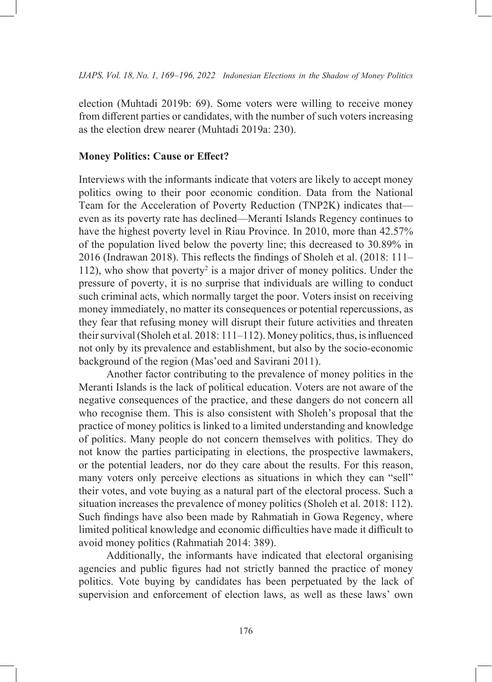election (Muhtadi 2019b: 69). Some voters were willing to receive money from different parties or candidates, with the number of such voters increasing as the election drew nearer (Muhtadi 2019a: 230).

#### **Money Politics: Cause or Effect?**

Interviews with the informants indicate that voters are likely to accept money politics owing to their poor economic condition. Data from the National Team for the Acceleration of Poverty Reduction (TNP2K) indicates that even as its poverty rate has declined—Meranti Islands Regency continues to have the highest poverty level in Riau Province. In 2010, more than 42.57% of the population lived below the poverty line; this decreased to 30.89% in 2016 (Indrawan 2018). This reflects the findings of Sholeh et al. (2018: 111– 112), who show that poverty<sup>2</sup> is a major driver of money politics. Under the pressure of poverty, it is no surprise that individuals are willing to conduct such criminal acts, which normally target the poor. Voters insist on receiving money immediately, no matter its consequences or potential repercussions, as they fear that refusing money will disrupt their future activities and threaten their survival (Sholeh et al. 2018: 111–112). Money politics, thus, is influenced not only by its prevalence and establishment, but also by the socio-economic background of the region (Mas'oed and Savirani 2011).

Another factor contributing to the prevalence of money politics in the Meranti Islands is the lack of political education. Voters are not aware of the negative consequences of the practice, and these dangers do not concern all who recognise them. This is also consistent with Sholeh's proposal that the practice of money politics is linked to a limited understanding and knowledge of politics. Many people do not concern themselves with politics. They do not know the parties participating in elections, the prospective lawmakers, or the potential leaders, nor do they care about the results. For this reason, many voters only perceive elections as situations in which they can "sell" their votes, and vote buying as a natural part of the electoral process. Such a situation increases the prevalence of money politics (Sholeh et al. 2018: 112). Such findings have also been made by Rahmatiah in Gowa Regency, where limited political knowledge and economic difficulties have made it difficult to avoid money politics (Rahmatiah 2014: 389).

Additionally, the informants have indicated that electoral organising agencies and public figures had not strictly banned the practice of money politics. Vote buying by candidates has been perpetuated by the lack of supervision and enforcement of election laws, as well as these laws' own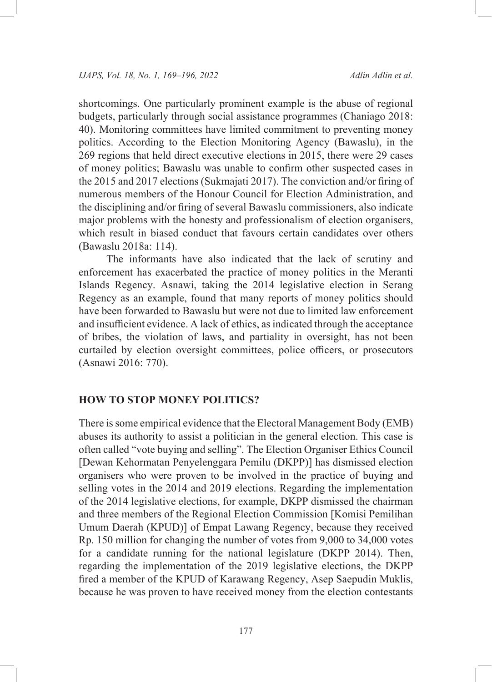shortcomings. One particularly prominent example is the abuse of regional budgets, particularly through social assistance programmes (Chaniago 2018: 40). Monitoring committees have limited commitment to preventing money politics. According to the Election Monitoring Agency (Bawaslu), in the 269 regions that held direct executive elections in 2015, there were 29 cases of money politics; Bawaslu was unable to confirm other suspected cases in the 2015 and 2017 elections (Sukmajati 2017). The conviction and/or firing of numerous members of the Honour Council for Election Administration, and the disciplining and/or firing of several Bawaslu commissioners, also indicate major problems with the honesty and professionalism of election organisers, which result in biased conduct that favours certain candidates over others (Bawaslu 2018a: 114).

The informants have also indicated that the lack of scrutiny and enforcement has exacerbated the practice of money politics in the Meranti Islands Regency. Asnawi, taking the 2014 legislative election in Serang Regency as an example, found that many reports of money politics should have been forwarded to Bawaslu but were not due to limited law enforcement and insufficient evidence. A lack of ethics, as indicated through the acceptance of bribes, the violation of laws, and partiality in oversight, has not been curtailed by election oversight committees, police officers, or prosecutors (Asnawi 2016: 770).

## **HOW TO STOP MONEY POLITICS?**

There is some empirical evidence that the Electoral Management Body (EMB) abuses its authority to assist a politician in the general election. This case is often called "vote buying and selling". The Election Organiser Ethics Council [Dewan Kehormatan Penyelenggara Pemilu (DKPP)] has dismissed election organisers who were proven to be involved in the practice of buying and selling votes in the 2014 and 2019 elections. Regarding the implementation of the 2014 legislative elections, for example, DKPP dismissed the chairman and three members of the Regional Election Commission [Komisi Pemilihan Umum Daerah (KPUD)] of Empat Lawang Regency, because they received Rp. 150 million for changing the number of votes from 9,000 to 34,000 votes for a candidate running for the national legislature (DKPP 2014). Then, regarding the implementation of the 2019 legislative elections, the DKPP fired a member of the KPUD of Karawang Regency, Asep Saepudin Muklis, because he was proven to have received money from the election contestants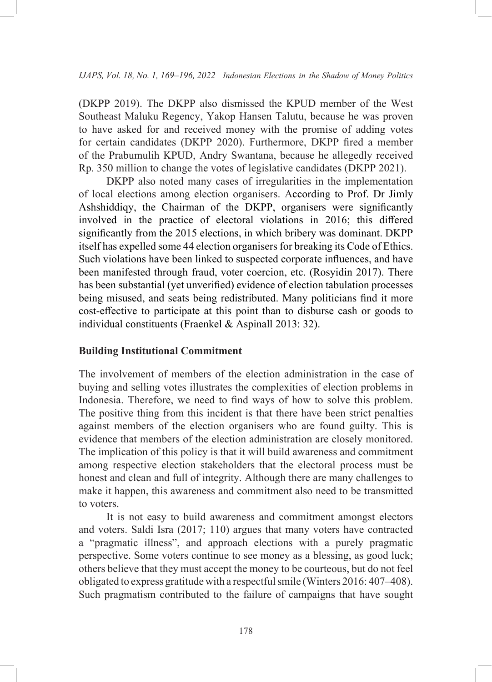(DKPP 2019). The DKPP also dismissed the KPUD member of the West Southeast Maluku Regency, Yakop Hansen Talutu, because he was proven to have asked for and received money with the promise of adding votes for certain candidates (DKPP 2020). Furthermore, DKPP fired a member of the Prabumulih KPUD, Andry Swantana, because he allegedly received Rp. 350 million to change the votes of legislative candidates (DKPP 2021).

DKPP also noted many cases of irregularities in the implementation of local elections among election organisers. According to Prof. Dr Jimly Ashshiddiqy, the Chairman of the DKPP, organisers were significantly involved in the practice of electoral violations in 2016; this differed significantly from the 2015 elections, in which bribery was dominant. DKPP itself has expelled some 44 election organisers for breaking its Code of Ethics. Such violations have been linked to suspected corporate influences, and have been manifested through fraud, voter coercion, etc. (Rosyidin 2017). There has been substantial (yet unverified) evidence of election tabulation processes being misused, and seats being redistributed. Many politicians find it more cost-effective to participate at this point than to disburse cash or goods to individual constituents (Fraenkel & Aspinall 2013: 32).

#### **Building Institutional Commitment**

The involvement of members of the election administration in the case of buying and selling votes illustrates the complexities of election problems in Indonesia. Therefore, we need to find ways of how to solve this problem. The positive thing from this incident is that there have been strict penalties against members of the election organisers who are found guilty. This is evidence that members of the election administration are closely monitored. The implication of this policy is that it will build awareness and commitment among respective election stakeholders that the electoral process must be honest and clean and full of integrity. Although there are many challenges to make it happen, this awareness and commitment also need to be transmitted to voters.

It is not easy to build awareness and commitment amongst electors and voters. Saldi Isra (2017; 110) argues that many voters have contracted a "pragmatic illness", and approach elections with a purely pragmatic perspective. Some voters continue to see money as a blessing, as good luck; others believe that they must accept the money to be courteous, but do not feel obligated to express gratitude with a respectful smile (Winters 2016: 407–408). Such pragmatism contributed to the failure of campaigns that have sought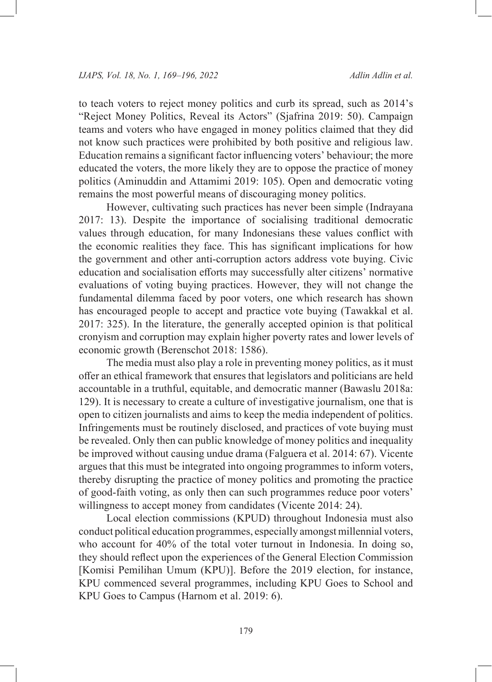to teach voters to reject money politics and curb its spread, such as 2014's "Reject Money Politics, Reveal its Actors" (Sjafrina 2019: 50). Campaign teams and voters who have engaged in money politics claimed that they did not know such practices were prohibited by both positive and religious law. Education remains a significant factor influencing voters' behaviour; the more educated the voters, the more likely they are to oppose the practice of money politics (Aminuddin and Attamimi 2019: 105). Open and democratic voting remains the most powerful means of discouraging money politics.

However, cultivating such practices has never been simple (Indrayana 2017: 13). Despite the importance of socialising traditional democratic values through education, for many Indonesians these values conflict with the economic realities they face. This has significant implications for how the government and other anti-corruption actors address vote buying. Civic education and socialisation efforts may successfully alter citizens' normative evaluations of voting buying practices. However, they will not change the fundamental dilemma faced by poor voters, one which research has shown has encouraged people to accept and practice vote buying (Tawakkal et al. 2017: 325). In the literature, the generally accepted opinion is that political cronyism and corruption may explain higher poverty rates and lower levels of economic growth (Berenschot 2018: 1586).

The media must also play a role in preventing money politics, as it must offer an ethical framework that ensures that legislators and politicians are held accountable in a truthful, equitable, and democratic manner (Bawaslu 2018a: 129). It is necessary to create a culture of investigative journalism, one that is open to citizen journalists and aims to keep the media independent of politics. Infringements must be routinely disclosed, and practices of vote buying must be revealed. Only then can public knowledge of money politics and inequality be improved without causing undue drama (Falguera et al. 2014: 67). Vicente argues that this must be integrated into ongoing programmes to inform voters, thereby disrupting the practice of money politics and promoting the practice of good-faith voting, as only then can such programmes reduce poor voters' willingness to accept money from candidates (Vicente 2014: 24).

Local election commissions (KPUD) throughout Indonesia must also conduct political education programmes, especially amongst millennial voters, who account for 40% of the total voter turnout in Indonesia. In doing so, they should reflect upon the experiences of the General Election Commission [Komisi Pemilihan Umum (KPU)]. Before the 2019 election, for instance, KPU commenced several programmes, including KPU Goes to School and KPU Goes to Campus (Harnom et al. 2019: 6).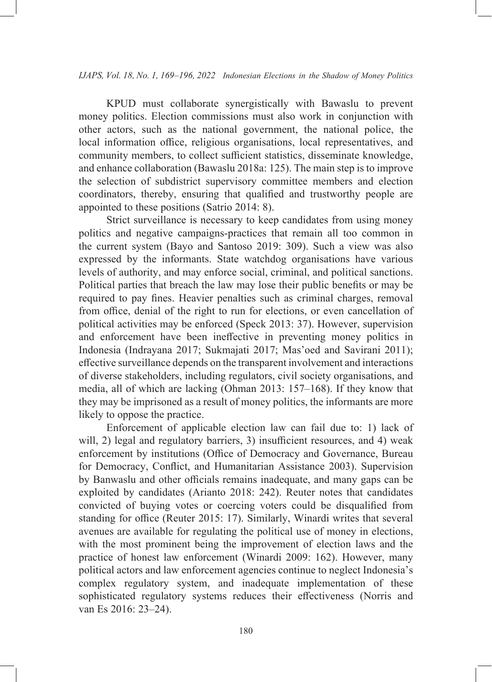KPUD must collaborate synergistically with Bawaslu to prevent money politics. Election commissions must also work in conjunction with other actors, such as the national government, the national police, the local information office, religious organisations, local representatives, and community members, to collect sufficient statistics, disseminate knowledge, and enhance collaboration (Bawaslu 2018a: 125). The main step is to improve the selection of subdistrict supervisory committee members and election coordinators, thereby, ensuring that qualified and trustworthy people are appointed to these positions (Satrio 2014: 8).

Strict surveillance is necessary to keep candidates from using money politics and negative campaigns-practices that remain all too common in the current system (Bayo and Santoso 2019: 309). Such a view was also expressed by the informants. State watchdog organisations have various levels of authority, and may enforce social, criminal, and political sanctions. Political parties that breach the law may lose their public benefits or may be required to pay fines. Heavier penalties such as criminal charges, removal from office, denial of the right to run for elections, or even cancellation of political activities may be enforced (Speck 2013: 37). However, supervision and enforcement have been ineffective in preventing money politics in Indonesia (Indrayana 2017; Sukmajati 2017; Mas'oed and Savirani 2011); effective surveillance depends on the transparent involvement and interactions of diverse stakeholders, including regulators, civil society organisations, and media, all of which are lacking (Ohman 2013: 157–168). If they know that they may be imprisoned as a result of money politics, the informants are more likely to oppose the practice.

Enforcement of applicable election law can fail due to: 1) lack of will, 2) legal and regulatory barriers, 3) insufficient resources, and 4) weak enforcement by institutions (Office of Democracy and Governance, Bureau for Democracy, Conflict, and Humanitarian Assistance 2003). Supervision by Banwaslu and other officials remains inadequate, and many gaps can be exploited by candidates (Arianto 2018: 242). Reuter notes that candidates convicted of buying votes or coercing voters could be disqualified from standing for office (Reuter 2015: 17). Similarly, Winardi writes that several avenues are available for regulating the political use of money in elections, with the most prominent being the improvement of election laws and the practice of honest law enforcement (Winardi 2009: 162). However, many political actors and law enforcement agencies continue to neglect Indonesia's complex regulatory system, and inadequate implementation of these sophisticated regulatory systems reduces their effectiveness (Norris and van Es 2016: 23–24).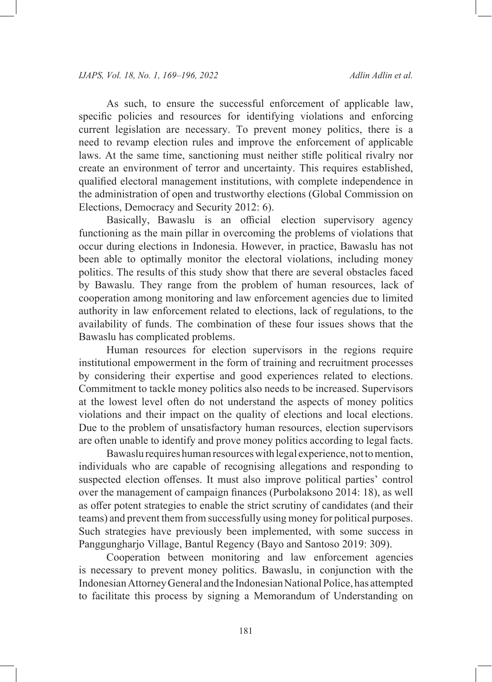As such, to ensure the successful enforcement of applicable law, specific policies and resources for identifying violations and enforcing current legislation are necessary. To prevent money politics, there is a need to revamp election rules and improve the enforcement of applicable laws. At the same time, sanctioning must neither stifle political rivalry nor create an environment of terror and uncertainty. This requires established, qualified electoral management institutions, with complete independence in the administration of open and trustworthy elections (Global Commission on Elections, Democracy and Security 2012: 6).

Basically, Bawaslu is an official election supervisory agency functioning as the main pillar in overcoming the problems of violations that occur during elections in Indonesia. However, in practice, Bawaslu has not been able to optimally monitor the electoral violations, including money politics. The results of this study show that there are several obstacles faced by Bawaslu. They range from the problem of human resources, lack of cooperation among monitoring and law enforcement agencies due to limited authority in law enforcement related to elections, lack of regulations, to the availability of funds. The combination of these four issues shows that the Bawaslu has complicated problems.

Human resources for election supervisors in the regions require institutional empowerment in the form of training and recruitment processes by considering their expertise and good experiences related to elections. Commitment to tackle money politics also needs to be increased. Supervisors at the lowest level often do not understand the aspects of money politics violations and their impact on the quality of elections and local elections. Due to the problem of unsatisfactory human resources, election supervisors are often unable to identify and prove money politics according to legal facts.

Bawaslu requires human resources with legal experience, not to mention, individuals who are capable of recognising allegations and responding to suspected election offenses. It must also improve political parties' control over the management of campaign finances (Purbolaksono 2014: 18), as well as offer potent strategies to enable the strict scrutiny of candidates (and their teams) and prevent them from successfully using money for political purposes. Such strategies have previously been implemented, with some success in Panggungharjo Village, Bantul Regency (Bayo and Santoso 2019: 309).

Cooperation between monitoring and law enforcement agencies is necessary to prevent money politics. Bawaslu, in conjunction with the Indonesian Attorney General and the Indonesian National Police, has attempted to facilitate this process by signing a Memorandum of Understanding on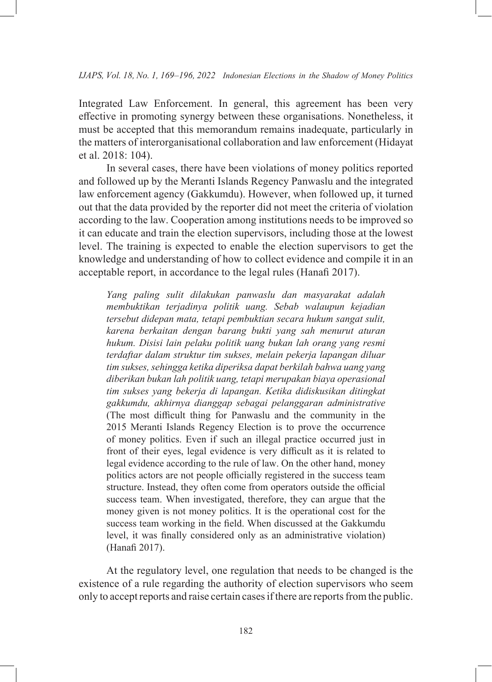Integrated Law Enforcement. In general, this agreement has been very effective in promoting synergy between these organisations. Nonetheless, it must be accepted that this memorandum remains inadequate, particularly in the matters of interorganisational collaboration and law enforcement (Hidayat et al. 2018: 104).

In several cases, there have been violations of money politics reported and followed up by the Meranti Islands Regency Panwaslu and the integrated law enforcement agency (Gakkumdu). However, when followed up, it turned out that the data provided by the reporter did not meet the criteria of violation according to the law. Cooperation among institutions needs to be improved so it can educate and train the election supervisors, including those at the lowest level. The training is expected to enable the election supervisors to get the knowledge and understanding of how to collect evidence and compile it in an acceptable report, in accordance to the legal rules (Hanafi 2017).

*Yang paling sulit dilakukan panwaslu dan masyarakat adalah membuktikan terjadinya politik uang. Sebab walaupun kejadian tersebut didepan mata, tetapi pembuktian secara hukum sangat sulit, karena berkaitan dengan barang bukti yang sah menurut aturan hukum. Disisi lain pelaku politik uang bukan lah orang yang resmi terdaftar dalam struktur tim sukses, melain pekerja lapangan diluar tim sukses, sehingga ketika diperiksa dapat berkilah bahwa uang yang diberikan bukan lah politik uang, tetapi merupakan biaya operasional tim sukses yang bekerja di lapangan. Ketika didiskusikan ditingkat gakkumdu, akhirnya dianggap sebagai pelanggaran administrative* (The most difficult thing for Panwaslu and the community in the 2015 Meranti Islands Regency Election is to prove the occurrence of money politics. Even if such an illegal practice occurred just in front of their eyes, legal evidence is very difficult as it is related to legal evidence according to the rule of law. On the other hand, money politics actors are not people officially registered in the success team structure. Instead, they often come from operators outside the official success team. When investigated, therefore, they can argue that the money given is not money politics. It is the operational cost for the success team working in the field. When discussed at the Gakkumdu level, it was finally considered only as an administrative violation) (Hanafi 2017).

At the regulatory level, one regulation that needs to be changed is the existence of a rule regarding the authority of election supervisors who seem only to accept reports and raise certain cases if there are reports from the public.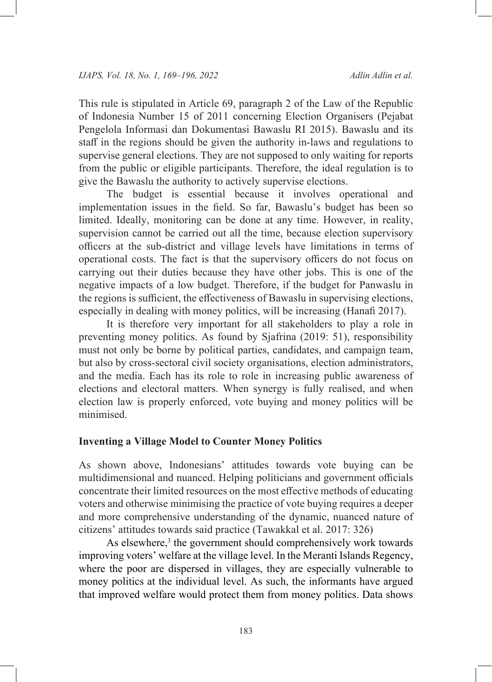This rule is stipulated in Article 69, paragraph 2 of the Law of the Republic of Indonesia Number 15 of 2011 concerning Election Organisers (Pejabat Pengelola Informasi dan Dokumentasi Bawaslu RI 2015). Bawaslu and its staff in the regions should be given the authority in-laws and regulations to supervise general elections. They are not supposed to only waiting for reports from the public or eligible participants. Therefore, the ideal regulation is to give the Bawaslu the authority to actively supervise elections.

The budget is essential because it involves operational and implementation issues in the field. So far, Bawaslu's budget has been so limited. Ideally, monitoring can be done at any time. However, in reality, supervision cannot be carried out all the time, because election supervisory officers at the sub-district and village levels have limitations in terms of operational costs. The fact is that the supervisory officers do not focus on carrying out their duties because they have other jobs. This is one of the negative impacts of a low budget. Therefore, if the budget for Panwaslu in the regions is sufficient, the effectiveness of Bawaslu in supervising elections, especially in dealing with money politics, will be increasing (Hanafi 2017).

It is therefore very important for all stakeholders to play a role in preventing money politics. As found by Sjafrina (2019: 51), responsibility must not only be borne by political parties, candidates, and campaign team, but also by cross-sectoral civil society organisations, election administrators, and the media. Each has its role to role in increasing public awareness of elections and electoral matters. When synergy is fully realised, and when election law is properly enforced, vote buying and money politics will be minimised.

#### **Inventing a Village Model to Counter Money Politics**

As shown above, Indonesians' attitudes towards vote buying can be multidimensional and nuanced. Helping politicians and government officials concentrate their limited resources on the most effective methods of educating voters and otherwise minimising the practice of vote buying requires a deeper and more comprehensive understanding of the dynamic, nuanced nature of citizens' attitudes towards said practice (Tawakkal et al. 2017: 326)

As elsewhere,<sup>3</sup> the government should comprehensively work towards improving voters' welfare at the village level. In the Meranti Islands Regency, where the poor are dispersed in villages, they are especially vulnerable to money politics at the individual level. As such, the informants have argued that improved welfare would protect them from money politics. Data shows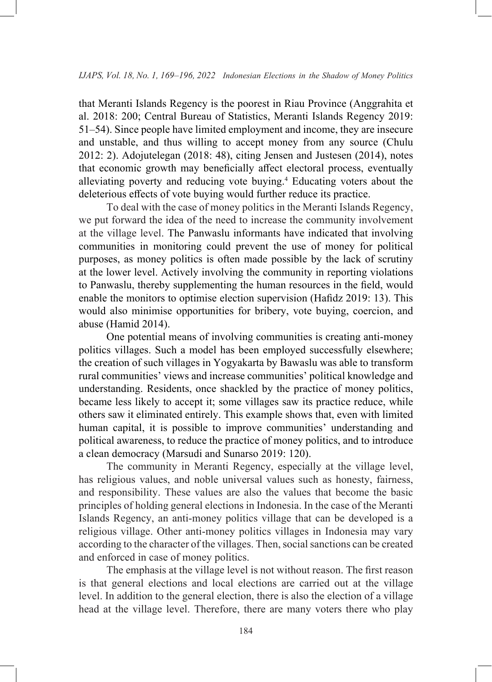that Meranti Islands Regency is the poorest in Riau Province (Anggrahita et al. 2018: 200; Central Bureau of Statistics, Meranti Islands Regency 2019: 51–54). Since people have limited employment and income, they are insecure and unstable, and thus willing to accept money from any source (Chulu 2012: 2). Adojutelegan (2018: 48), citing Jensen and Justesen (2014), notes that economic growth may beneficially affect electoral process, eventually alleviating poverty and reducing vote buying.4 Educating voters about the deleterious effects of vote buying would further reduce its practice.

To deal with the case of money politics in the Meranti Islands Regency, we put forward the idea of the need to increase the community involvement at the village level. The Panwaslu informants have indicated that involving communities in monitoring could prevent the use of money for political purposes, as money politics is often made possible by the lack of scrutiny at the lower level. Actively involving the community in reporting violations to Panwaslu, thereby supplementing the human resources in the field, would enable the monitors to optimise election supervision (Hafidz 2019: 13). This would also minimise opportunities for bribery, vote buying, coercion, and abuse (Hamid 2014).

One potential means of involving communities is creating anti-money politics villages. Such a model has been employed successfully elsewhere; the creation of such villages in Yogyakarta by Bawaslu was able to transform rural communities' views and increase communities' political knowledge and understanding. Residents, once shackled by the practice of money politics, became less likely to accept it; some villages saw its practice reduce, while others saw it eliminated entirely. This example shows that, even with limited human capital, it is possible to improve communities' understanding and political awareness, to reduce the practice of money politics, and to introduce a clean democracy (Marsudi and Sunarso 2019: 120).

The community in Meranti Regency, especially at the village level, has religious values, and noble universal values such as honesty, fairness, and responsibility. These values are also the values that become the basic principles of holding general elections in Indonesia. In the case of the Meranti Islands Regency, an anti-money politics village that can be developed is a religious village. Other anti-money politics villages in Indonesia may vary according to the character of the villages. Then, social sanctions can be created and enforced in case of money politics.

The emphasis at the village level is not without reason. The first reason is that general elections and local elections are carried out at the village level. In addition to the general election, there is also the election of a village head at the village level. Therefore, there are many voters there who play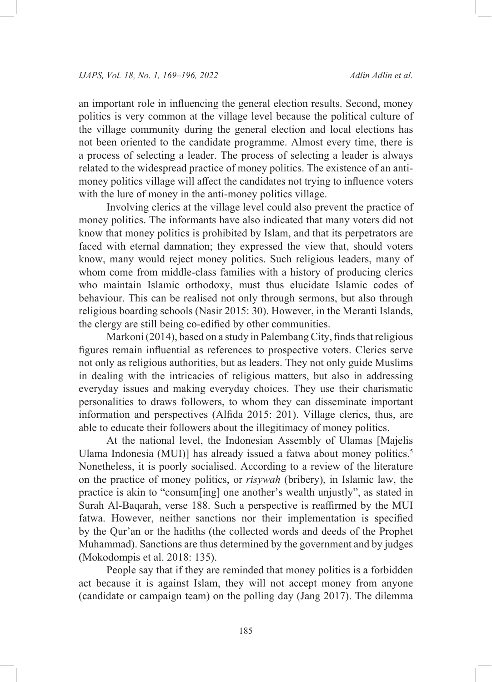an important role in influencing the general election results. Second, money politics is very common at the village level because the political culture of the village community during the general election and local elections has not been oriented to the candidate programme. Almost every time, there is a process of selecting a leader. The process of selecting a leader is always related to the widespread practice of money politics. The existence of an antimoney politics village will affect the candidates not trying to influence voters with the lure of money in the anti-money politics village.

Involving clerics at the village level could also prevent the practice of money politics. The informants have also indicated that many voters did not know that money politics is prohibited by Islam, and that its perpetrators are faced with eternal damnation; they expressed the view that, should voters know, many would reject money politics. Such religious leaders, many of whom come from middle-class families with a history of producing clerics who maintain Islamic orthodoxy, must thus elucidate Islamic codes of behaviour. This can be realised not only through sermons, but also through religious boarding schools (Nasir 2015: 30). However, in the Meranti Islands, the clergy are still being co-edified by other communities.

Markoni (2014), based on a study in Palembang City, finds that religious figures remain influential as references to prospective voters. Clerics serve not only as religious authorities, but as leaders. They not only guide Muslims in dealing with the intricacies of religious matters, but also in addressing everyday issues and making everyday choices. They use their charismatic personalities to draws followers, to whom they can disseminate important information and perspectives (Alfida 2015: 201). Village clerics, thus, are able to educate their followers about the illegitimacy of money politics.

At the national level, the Indonesian Assembly of Ulamas [Majelis Ulama Indonesia (MUI)] has already issued a fatwa about money politics.<sup>5</sup> Nonetheless, it is poorly socialised. According to a review of the literature on the practice of money politics, or *risywah* (bribery), in Islamic law, the practice is akin to "consum[ing] one another's wealth unjustly", as stated in Surah Al-Baqarah, verse 188. Such a perspective is reaffirmed by the MUI fatwa. However, neither sanctions nor their implementation is specified by the Qur'an or the hadiths (the collected words and deeds of the Prophet Muhammad). Sanctions are thus determined by the government and by judges (Mokodompis et al. 2018: 135).

People say that if they are reminded that money politics is a forbidden act because it is against Islam, they will not accept money from anyone (candidate or campaign team) on the polling day (Jang 2017). The dilemma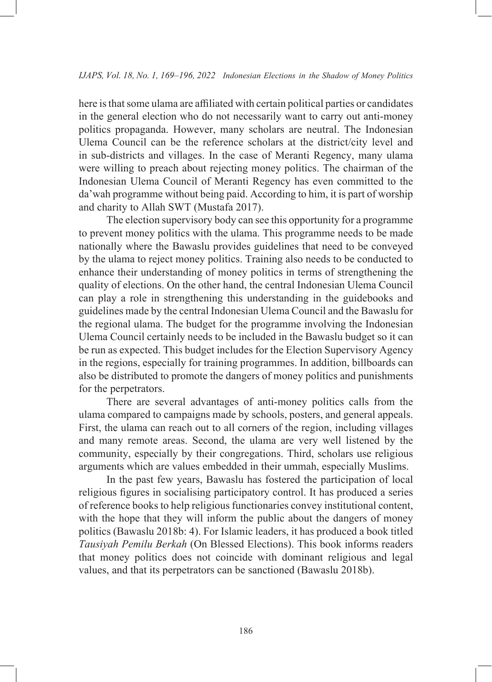here is that some ulama are affiliated with certain political parties or candidates in the general election who do not necessarily want to carry out anti-money politics propaganda. However, many scholars are neutral. The Indonesian Ulema Council can be the reference scholars at the district/city level and in sub-districts and villages. In the case of Meranti Regency, many ulama were willing to preach about rejecting money politics. The chairman of the Indonesian Ulema Council of Meranti Regency has even committed to the da'wah programme without being paid. According to him, it is part of worship and charity to Allah SWT (Mustafa 2017).

The election supervisory body can see this opportunity for a programme to prevent money politics with the ulama. This programme needs to be made nationally where the Bawaslu provides guidelines that need to be conveyed by the ulama to reject money politics. Training also needs to be conducted to enhance their understanding of money politics in terms of strengthening the quality of elections. On the other hand, the central Indonesian Ulema Council can play a role in strengthening this understanding in the guidebooks and guidelines made by the central Indonesian Ulema Council and the Bawaslu for the regional ulama. The budget for the programme involving the Indonesian Ulema Council certainly needs to be included in the Bawaslu budget so it can be run as expected. This budget includes for the Election Supervisory Agency in the regions, especially for training programmes. In addition, billboards can also be distributed to promote the dangers of money politics and punishments for the perpetrators.

There are several advantages of anti-money politics calls from the ulama compared to campaigns made by schools, posters, and general appeals. First, the ulama can reach out to all corners of the region, including villages and many remote areas. Second, the ulama are very well listened by the community, especially by their congregations. Third, scholars use religious arguments which are values embedded in their ummah, especially Muslims.

In the past few years, Bawaslu has fostered the participation of local religious figures in socialising participatory control. It has produced a series of reference books to help religious functionaries convey institutional content, with the hope that they will inform the public about the dangers of money politics (Bawaslu 2018b: 4). For Islamic leaders, it has produced a book titled *Tausiyah Pemilu Berkah* (On Blessed Elections). This book informs readers that money politics does not coincide with dominant religious and legal values, and that its perpetrators can be sanctioned (Bawaslu 2018b).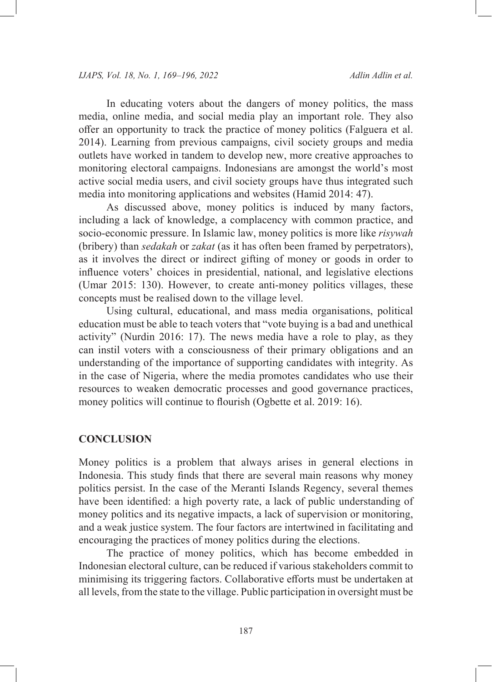In educating voters about the dangers of money politics, the mass media, online media, and social media play an important role. They also offer an opportunity to track the practice of money politics (Falguera et al. 2014). Learning from previous campaigns, civil society groups and media outlets have worked in tandem to develop new, more creative approaches to monitoring electoral campaigns. Indonesians are amongst the world's most active social media users, and civil society groups have thus integrated such media into monitoring applications and websites (Hamid 2014: 47).

As discussed above, money politics is induced by many factors, including a lack of knowledge, a complacency with common practice, and socio-economic pressure. In Islamic law, money politics is more like *risywah* (bribery) than *sedakah* or *zakat* (as it has often been framed by perpetrators), as it involves the direct or indirect gifting of money or goods in order to influence voters' choices in presidential, national, and legislative elections (Umar 2015: 130). However, to create anti-money politics villages, these concepts must be realised down to the village level.

Using cultural, educational, and mass media organisations, political education must be able to teach voters that "vote buying is a bad and unethical activity" (Nurdin 2016: 17). The news media have a role to play, as they can instil voters with a consciousness of their primary obligations and an understanding of the importance of supporting candidates with integrity. As in the case of Nigeria, where the media promotes candidates who use their resources to weaken democratic processes and good governance practices, money politics will continue to flourish (Ogbette et al. 2019: 16).

## **CONCLUSION**

Money politics is a problem that always arises in general elections in Indonesia. This study finds that there are several main reasons why money politics persist. In the case of the Meranti Islands Regency, several themes have been identified: a high poverty rate, a lack of public understanding of money politics and its negative impacts, a lack of supervision or monitoring, and a weak justice system. The four factors are intertwined in facilitating and encouraging the practices of money politics during the elections.

The practice of money politics, which has become embedded in Indonesian electoral culture, can be reduced if various stakeholders commit to minimising its triggering factors. Collaborative efforts must be undertaken at all levels, from the state to the village. Public participation in oversight must be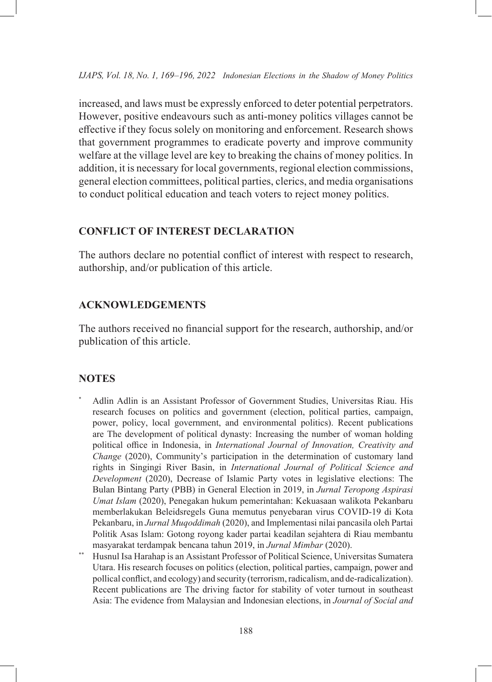increased, and laws must be expressly enforced to deter potential perpetrators. However, positive endeavours such as anti-money politics villages cannot be effective if they focus solely on monitoring and enforcement. Research shows that government programmes to eradicate poverty and improve community welfare at the village level are key to breaking the chains of money politics. In addition, it is necessary for local governments, regional election commissions, general election committees, political parties, clerics, and media organisations to conduct political education and teach voters to reject money politics.

# **CONFLICT OF INTEREST DECLARATION**

The authors declare no potential conflict of interest with respect to research, authorship, and/or publication of this article.

## **ACKNOWLEDGEMENTS**

The authors received no financial support for the research, authorship, and/or publication of this article.

## **NOTES**

- Adlin Adlin is an Assistant Professor of Government Studies, Universitas Riau. His research focuses on politics and government (election, political parties, campaign, power, policy, local government, and environmental politics). Recent publications are The development of political dynasty: Increasing the number of woman holding political office in Indonesia, in *International Journal of Innovation, Creativity and Change* (2020), Community's participation in the determination of customary land rights in Singingi River Basin, in *International Journal of Political Science and Development* (2020), Decrease of Islamic Party votes in legislative elections: The Bulan Bintang Party (PBB) in General Election in 2019, in *Jurnal Teropong Aspirasi Umat Islam* (2020), Penegakan hukum pemerintahan: Kekuasaan walikota Pekanbaru memberlakukan Beleidsregels Guna memutus penyebaran virus COVID-19 di Kota Pekanbaru, in *Jurnal Muqoddimah* (2020), and Implementasi nilai pancasila oleh Partai Politik Asas Islam: Gotong royong kader partai keadilan sejahtera di Riau membantu masyarakat terdampak bencana tahun 2019, in *Jurnal Mimbar* (2020).
- \*\* Husnul Isa Harahap is an Assistant Professor of Political Science, Universitas Sumatera Utara. His research focuses on politics (election, political parties, campaign, power and pollical conflict, and ecology) and security (terrorism, radicalism, and de-radicalization). Recent publications are The driving factor for stability of voter turnout in southeast Asia: The evidence from Malaysian and Indonesian elections, in *Journal of Social and*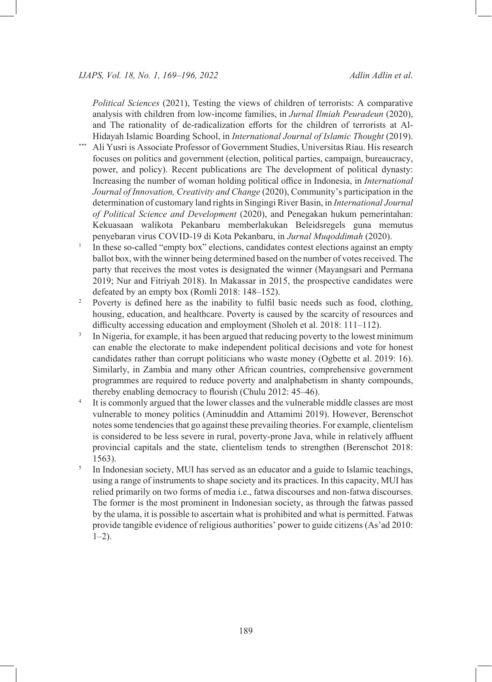*Political Sciences* (2021), Testing the views of children of terrorists: A comparative analysis with children from low-income families, in *Jurnal Ilmiah Peuradeun* (2020), and The rationality of de-radicalization efforts for the children of terrorists at Al-Hidayah Islamic Boarding School, in *International Journal of Islamic Thought* (2019).

- Ali Yusri is Associate Professor of Government Studies, Universitas Riau. His research focuses on politics and government (election, political parties, campaign, bureaucracy, power, and policy). Recent publications are The development of political dynasty: Increasing the number of woman holding political office in Indonesia, in *International Journal of Innovation, Creativity and Change* (2020), Community's participation in the determination of customary land rights in Singingi River Basin, in *International Journal of Political Science and Development* (2020), and Penegakan hukum pemerintahan: Kekuasaan walikota Pekanbaru memberlakukan Beleidsregels guna memutus penyebaran virus COVID-19 di Kota Pekanbaru, in *Jurnal Muqoddimah* (2020).
- <sup>1</sup> In these so-called "empty box" elections, candidates contest elections against an empty ballot box, with the winner being determined based on the number of votes received. The party that receives the most votes is designated the winner (Mayangsari and Permana 2019; Nur and Fitriyah 2018). In Makassar in 2015, the prospective candidates were defeated by an empty box (Romli 2018: 148–152).
- <sup>2</sup> Poverty is defined here as the inability to fulfil basic needs such as food, clothing, housing, education, and healthcare. Poverty is caused by the scarcity of resources and difficulty accessing education and employment (Sholeh et al. 2018: 111–112).
- <sup>3</sup> In Nigeria, for example, it has been argued that reducing poverty to the lowest minimum can enable the electorate to make independent political decisions and vote for honest candidates rather than corrupt politicians who waste money (Ogbette et al. 2019: 16). Similarly, in Zambia and many other African countries, comprehensive government programmes are required to reduce poverty and analphabetism in shanty compounds, thereby enabling democracy to flourish (Chulu 2012: 45–46).
- <sup>4</sup> It is commonly argued that the lower classes and the vulnerable middle classes are most vulnerable to money politics (Aminuddin and Attamimi 2019). However, Berenschot notes some tendencies that go against these prevailing theories. For example, clientelism is considered to be less severe in rural, poverty-prone Java, while in relatively affluent provincial capitals and the state, clientelism tends to strengthen (Berenschot 2018: 1563).
- <sup>5</sup> In Indonesian society, MUI has served as an educator and a guide to Islamic teachings, using a range of instruments to shape society and its practices. In this capacity, MUI has relied primarily on two forms of media i.e., fatwa discourses and non-fatwa discourses. The former is the most prominent in Indonesian society, as through the fatwas passed by the ulama, it is possible to ascertain what is prohibited and what is permitted. Fatwas provide tangible evidence of religious authorities' power to guide citizens (As'ad 2010:  $1-2$ ).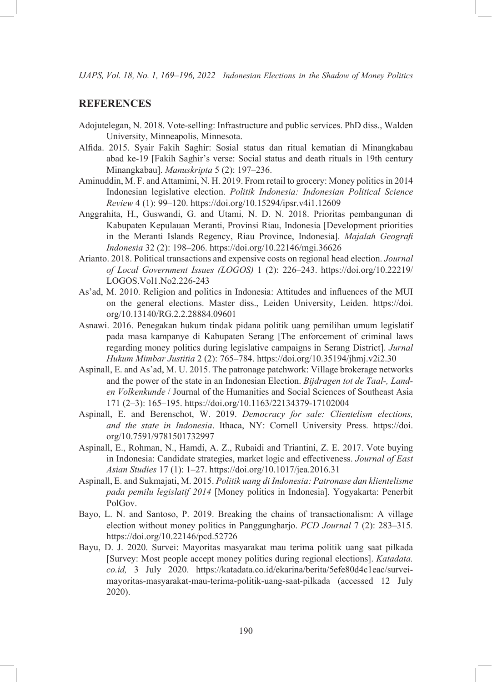## **REFERENCES**

- Adojutelegan, N. 2018. Vote-selling: Infrastructure and public services. PhD diss., Walden University, Minneapolis, Minnesota.
- Alfida. 2015. Syair Fakih Saghir: Sosial status dan ritual kematian di Minangkabau abad ke-19 [Fakih Saghir's verse: Social status and death rituals in 19th century Minangkabau]. *Manuskripta* 5 (2): 197–236.
- Aminuddin, M. F. and Attamimi, N. H. 2019. From retail to grocery: Money politics in 2014 Indonesian legislative election. *Politik Indonesia: Indonesian Political Science Review* 4 (1): 99–120. <https://doi.org/10.15294/ipsr.v4i1.12609>
- Anggrahita, H., Guswandi, G. and Utami, N. D. N. 2018. Prioritas pembangunan di Kabupaten Kepulauan Meranti, Provinsi Riau, Indonesia [Development priorities in the Meranti Islands Regency, Riau Province, Indonesia]. *Majalah Geografi Indonesia* 32 (2): 198–206. <https://doi.org/10.22146/mgi.36626>
- Arianto. 2018. Political transactions and expensive costs on regional head election. *Journal of Local Government Issues (LOGOS)* 1 (2): 226–243. [https://doi.org/10.22219/](https://doi.org/10.22219/LOGOS.Vol1.No2.226-243) [LOGOS.Vol1.No2.226-243](https://doi.org/10.22219/LOGOS.Vol1.No2.226-243)
- As'ad, M. 2010. Religion and politics in Indonesia: Attitudes and influences of the MUI on the general elections. Master diss., Leiden University, Leiden. [https://doi.](https://doi.org/10.13140/RG.2.2.28884.09601) [org/10.13140/RG.2.2.28884.09601](https://doi.org/10.13140/RG.2.2.28884.09601)
- Asnawi. 2016. Penegakan hukum tindak pidana politik uang pemilihan umum legislatif pada masa kampanye di Kabupaten Serang [The enforcement of criminal laws regarding money politics during legislative campaigns in Serang District]. *Jurnal Hukum Mimbar Justitia* 2 (2): 765–784. <https://doi.org/10.35194/jhmj.v2i2.30>
- Aspinall, E. and As'ad, M. U. 2015. The patronage patchwork: Village brokerage networks and the power of the state in an Indonesian Election. *Bijdragen tot de Taal-, Landen Volkenkunde* / Journal of the Humanities and Social Sciences of Southeast Asia 171 (2–3): 165–195.<https://doi.org/10.1163/22134379-17102004>
- Aspinall, E. and Berenschot, W. 2019. *Democracy for sale: Clientelism elections, and the state in Indonesia*. Ithaca, NY: Cornell University Press. [https://doi.](https://doi.org/10.7591/9781501732997) [org/10.7591/9781501732997](https://doi.org/10.7591/9781501732997)
- Aspinall, E., Rohman, N., Hamdi, A. Z., Rubaidi and Triantini, Z. E. 2017. Vote buying in Indonesia: Candidate strategies, market logic and effectiveness. *Journal of East Asian Studies* 17 (1): 1–27.<https://doi.org/10.1017/jea.2016.31>
- Aspinall, E. and Sukmajati, M. 2015. *Politik uang di Indonesia: Patronase dan klientelisme pada pemilu legislatif 2014* [Money politics in Indonesia]. Yogyakarta: Penerbit PolGov.
- Bayo, L. N. and Santoso, P. 2019. Breaking the chains of transactionalism: A village election without money politics in Panggungharjo. *PCD Journal* 7 (2): 283–315*.* <https://doi.org/10.22146/pcd.52726>
- Bayu, D. J. 2020. Survei: Mayoritas masyarakat mau terima politik uang saat pilkada [Survey: Most people accept money politics during regional elections]. *Katadata. co.id,* 3 July 2020. https://katadata.co.id/ekarina/berita/5efe80d4c1eac/surveimayoritas-masyarakat-mau-terima-politik-uang-saat-pilkada (accessed 12 July 2020).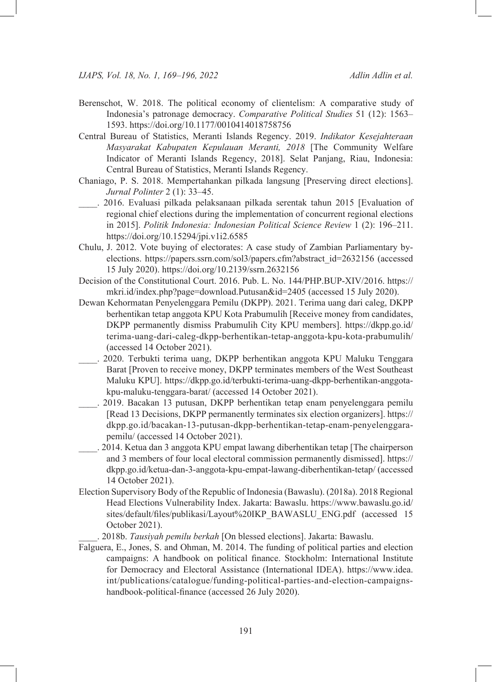- Berenschot, W. 2018. The political economy of clientelism: A comparative study of Indonesia's patronage democracy. *Comparative Political Studies* 51 (12): 1563– 1593. <https://doi.org/10.1177/0010414018758756>
- Central Bureau of Statistics, Meranti Islands Regency. 2019. *Indikator Kesejahteraan Masyarakat Kabupaten Kepulauan Meranti, 2018* [The Community Welfare Indicator of Meranti Islands Regency, 2018]. Selat Panjang, Riau, Indonesia: Central Bureau of Statistics, Meranti Islands Regency.
- Chaniago, P. S. 2018. Mempertahankan pilkada langsung [Preserving direct elections]. *Jurnal Polinter* 2 (1): 33–45.
- \_\_\_\_. 2016. Evaluasi pilkada pelaksanaan pilkada serentak tahun 2015 [Evaluation of regional chief elections during the implementation of concurrent regional elections in 2015]. *Politik Indonesia: Indonesian Political Science Review* 1 (2): 196–211. <https://doi.org/10.15294/jpi.v1i2.6585>
- Chulu, J. 2012. Vote buying of electorates: A case study of Zambian Parliamentary byelections. https://papers.ssrn.com/sol3/papers.cfm?abstract\_id=2632156 (accessed 15 July 2020). <https://doi.org/10.2139/ssrn.2632156>
- Decision of the Constitutional Court. 2016. Pub. L. No. 144/PHP.BUP-XIV/2016. https:// mkri.id/index.php?page=download.Putusan&id=2405 (accessed 15 July 2020).
- Dewan Kehormatan Penyelenggara Pemilu (DKPP). 2021. Terima uang dari caleg, DKPP berhentikan tetap anggota KPU Kota Prabumulih [Receive money from candidates, DKPP permanently dismiss Prabumulih City KPU members]. https://dkpp.go.id/ terima-uang-dari-caleg-dkpp-berhentikan-tetap-anggota-kpu-kota-prabumulih/ (accessed 14 October 2021).
- \_\_\_\_. 2020. Terbukti terima uang, DKPP berhentikan anggota KPU Maluku Tenggara Barat [Proven to receive money, DKPP terminates members of the West Southeast Maluku KPU]. https://dkpp.go.id/terbukti-terima-uang-dkpp-berhentikan-anggotakpu-maluku-tenggara-barat/ (accessed 14 October 2021).
- \_\_\_\_. 2019. Bacakan 13 putusan, DKPP berhentikan tetap enam penyelenggara pemilu [Read 13 Decisions, DKPP permanently terminates six election organizers]. https:// dkpp.go.id/bacakan-13-putusan-dkpp-berhentikan-tetap-enam-penyelenggarapemilu/ (accessed 14 October 2021).
- \_\_\_\_. 2014. Ketua dan 3 anggota KPU empat lawang diberhentikan tetap [The chairperson and 3 members of four local electoral commission permanently dismissed]. https:// dkpp.go.id/ketua-dan-3-anggota-kpu-empat-lawang-diberhentikan-tetap/ (accessed 14 October 2021).
- Election Supervisory Body of the Republic of Indonesia (Bawaslu). (2018a). 2018 Regional Head Elections Vulnerability Index. Jakarta: Bawaslu. https://www.bawaslu.go.id/ sites/default/files/publikasi/Layout%20IKP\_BAWASLU\_ENG.pdf (accessed 15 October 2021).

\_\_\_\_. 2018b. *Tausiyah pemilu berkah* [On blessed elections]. Jakarta: Bawaslu.

Falguera, E., Jones, S. and Ohman, M. 2014. The funding of political parties and election campaigns: A handbook on political finance. Stockholm: International Institute for Democracy and Electoral Assistance (International IDEA). https://www.idea. int/publications/catalogue/funding-political-parties-and-election-campaignshandbook-political-finance (accessed 26 July 2020).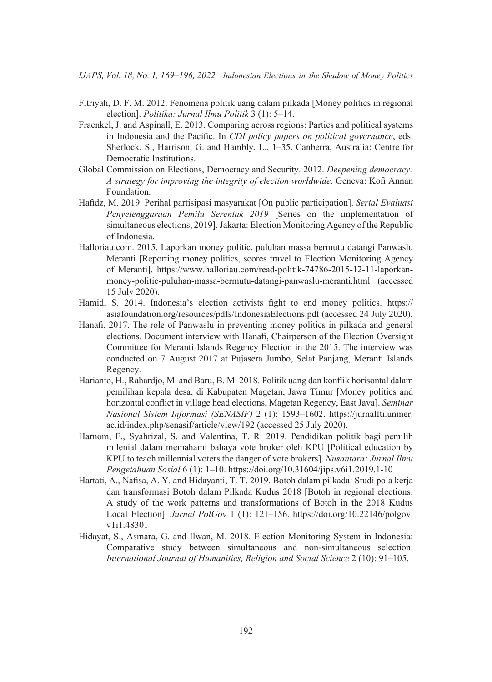- Fitriyah, D. F. M. 2012. Fenomena politik uang dalam pilkada [Money politics in regional election]. *Politika: Jurnal Ilmu Politik* 3 (1): 5–14.
- Fraenkel, J. and Aspinall, E. 2013. Comparing across regions: Parties and political systems in Indonesia and the Pacific. In *CDI policy papers on political governance*, eds. Sherlock, S., Harrison, G. and Hambly, L., 1–35. Canberra, Australia: Centre for Democratic Institutions.
- Global Commission on Elections, Democracy and Security. 2012. *Deepening democracy: A strategy for improving the integrity of election worldwide*. Geneva: Kofi Annan Foundation.
- Hafidz, M. 2019. Perihal partisipasi masyarakat [On public participation]. *Serial Evaluasi Penyelenggaraan Pemilu Serentak 2019* [Series on the implementation of simultaneous elections, 2019].Jakarta: Election Monitoring Agency of the Republic of Indonesia.
- Halloriau.com. 2015. Laporkan money politic, puluhan massa bermutu datangi Panwaslu Meranti [Reporting money politics, scores travel to Election Monitoring Agency of Meranti]. https://www.halloriau.com/read-politik-74786-2015-12-11-laporkanmoney-politic-puluhan-massa-bermutu-datangi-panwaslu-meranti.html (accessed 15 July 2020).
- Hamid, S. 2014. Indonesia's election activists fight to end money politics. https:// asiafoundation.org/resources/pdfs/IndonesiaElections.pdf (accessed 24 July 2020).
- Hanafi. 2017. The role of Panwaslu in preventing money politics in pilkada and general elections. Document interview with Hanafi, Chairperson of the Election Oversight Committee for Meranti Islands Regency Election in the 2015. The interview was conducted on 7 August 2017 at Pujasera Jumbo, Selat Panjang, Meranti Islands Regency.
- Harianto, H., Rahardjo, M. and Baru, B. M. 2018. Politik uang dan konflik horisontal dalam pemilihan kepala desa, di Kabupaten Magetan, Jawa Timur [Money politics and horizontal conflict in village head elections, Magetan Regency, East Java]. *Seminar Nasional Sistem Informasi (SENASIF)* 2 (1): 1593–1602. https://jurnalfti.unmer. ac.id/index.php/senasif/article/view/192 (accessed 25 July 2020).
- Harnom, F., Syahrizal, S. and Valentina, T. R. 2019. Pendidikan politik bagi pemilih milenial dalam memahami bahaya vote broker oleh KPU [Political education by KPU to teach millennial voters the danger of vote brokers]. *Nusantara: Jurnal Ilmu Pengetahuan Sosial* 6 (1): 1–10. <https://doi.org/10.31604/jips.v6i1.2019.1-10>
- Hartati, A., Nafisa, A. Y. and Hidayanti, T. T. 2019. Botoh dalam pilkada: Studi pola kerja dan transformasi Botoh dalam Pilkada Kudus 2018 [Botoh in regional elections: A study of the work patterns and transformations of Botoh in the 2018 Kudus Local Election]. *Jurnal PolGov* 1 (1): 121–156. [https://doi.org/10.22146/polgov.](https://doi.org/10.22146/polgov.v1i1.48301) [v1i1.48301](https://doi.org/10.22146/polgov.v1i1.48301)
- Hidayat, S., Asmara, G. and Ilwan, M. 2018. Election Monitoring System in Indonesia: Comparative study between simultaneous and non-simultaneous selection. *International Journal of Humanities, Religion and Social Science* 2 (10): 91–105.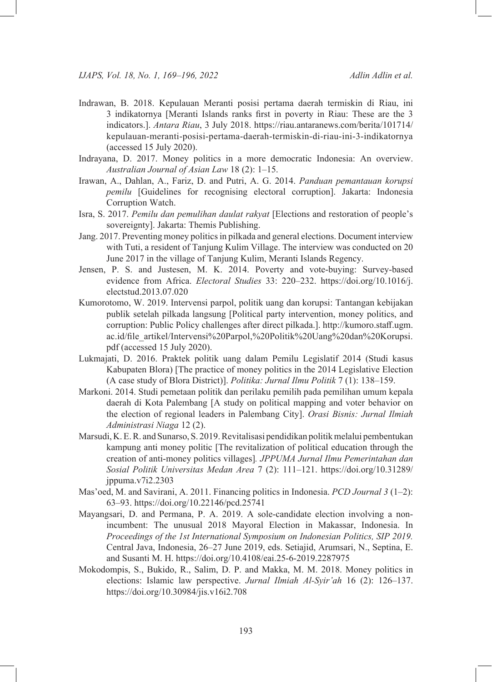- Indrawan, B. 2018. Kepulauan Meranti posisi pertama daerah termiskin di Riau, ini 3 indikatornya [Meranti Islands ranks first in poverty in Riau: These are the 3 indicators.]. *Antara Riau*, 3 July 2018. https://riau.antaranews.com/berita/101714/ kepulauan-meranti-posisi-pertama-daerah-termiskin-di-riau-ini-3-indikatornya (accessed 15 July 2020).
- Indrayana, D. 2017. Money politics in a more democratic Indonesia: An overview. *Australian Journal of Asian Law* 18 (2): 1–15.
- Irawan, A., Dahlan, A., Fariz, D. and Putri, A. G. 2014. *Panduan pemantauan korupsi pemilu* [Guidelines for recognising electoral corruption]. Jakarta: Indonesia Corruption Watch.
- Isra, S. 2017. *Pemilu dan pemulihan daulat rakyat* [Elections and restoration of people's sovereignty]. Jakarta: Themis Publishing.
- Jang. 2017. Preventing money politics in pilkada and general elections. Document interview with Tuti, a resident of Tanjung Kulim Village. The interview was conducted on 20 June 2017 in the village of Tanjung Kulim, Meranti Islands Regency.
- Jensen, P. S. and Justesen, M. K. 2014. Poverty and vote-buying: Survey-based evidence from Africa. *Electoral Studies* 33: 220–232. [https://doi.org/10.1016/j.](https://doi.org/10.1016/j.electstud.2013.07.020) [electstud.2013.07.020](https://doi.org/10.1016/j.electstud.2013.07.020)
- Kumorotomo, W. 2019. Intervensi parpol, politik uang dan korupsi: Tantangan kebijakan publik setelah pilkada langsung [Political party intervention, money politics, and corruption: Public Policy challenges after direct pilkada.]. http://kumoro.staff.ugm. ac.id/file\_artikel/Intervensi%20Parpol,%20Politik%20Uang%20dan%20Korupsi. pdf (accessed 15 July 2020).
- Lukmajati, D. 2016. Praktek politik uang dalam Pemilu Legislatif 2014 (Studi kasus Kabupaten Blora) [The practice of money politics in the 2014 Legislative Election (A case study of Blora District)]. *Politika: Jurnal Ilmu Politik* 7 (1): 138–159.
- Markoni. 2014. Studi pemetaan politik dan perilaku pemilih pada pemilihan umum kepala daerah di Kota Palembang [A study on political mapping and voter behavior on the election of regional leaders in Palembang City]. *Orasi Bisnis: Jurnal Ilmiah Administrasi Niaga* 12 (2).
- Marsudi, K. E. R. and Sunarso, S. 2019. Revitalisasi pendidikan politik melalui pembentukan kampung anti money politic [The revitalization of political education through the creation of anti-money politics villages]*. JPPUMA Jurnal Ilmu Pemerintahan dan Sosial Politik Universitas Medan Area* 7 (2): 111–121. [https://doi.org/10.31289/](https://doi.org/10.31289/jppuma.v7i2.2303) [jppuma.v7i2.2303](https://doi.org/10.31289/jppuma.v7i2.2303)
- Mas'oed, M. and Savirani, A. 2011. Financing politics in Indonesia. *PCD Journal 3* (1–2): 63–93. <https://doi.org/10.22146/pcd.25741>
- Mayangsari, D. and Permana, P. A. 2019. A sole-candidate election involving a nonincumbent: The unusual 2018 Mayoral Election in Makassar, Indonesia. In *Proceedings of the 1st International Symposium on Indonesian Politics, SIP 2019.*  Central Java, Indonesia, 26–27 June 2019, eds. Setiajid, Arumsari, N., Septina, E. and Susanti M. H. <https://doi.org/10.4108/eai.25-6-2019.2287975>
- Mokodompis, S., Bukido, R., Salim, D. P. and Makka, M. M. 2018. Money politics in elections: Islamic law perspective. *Jurnal Ilmiah Al-Syir'ah* 16 (2): 126–137. <https://doi.org/10.30984/jis.v16i2.708>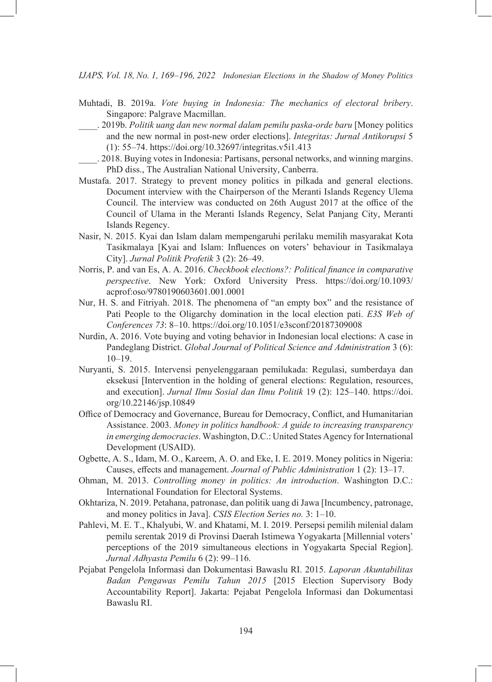- Muhtadi, B. 2019a. *Vote buying in Indonesia: The mechanics of electoral bribery*. Singapore: Palgrave Macmillan.
- \_\_\_\_. 2019b. *Politik uang dan new normal dalam pemilu paska-orde baru* [Money politics and the new normal in post-new order elections]. *Integritas: Jurnal Antikorupsi* 5 (1): 55–74.<https://doi.org/10.32697/integritas.v5i1.413>
- \_\_\_\_. 2018. Buying votes in Indonesia: Partisans, personal networks, and winning margins. PhD diss., The Australian National University, Canberra.
- Mustafa. 2017. Strategy to prevent money politics in pilkada and general elections. Document interview with the Chairperson of the Meranti Islands Regency Ulema Council. The interview was conducted on 26th August 2017 at the office of the Council of Ulama in the Meranti Islands Regency, Selat Panjang City, Meranti Islands Regency.
- Nasir, N. 2015. Kyai dan Islam dalam mempengaruhi perilaku memilih masyarakat Kota Tasikmalaya [Kyai and Islam: Influences on voters' behaviour in Tasikmalaya City]. *Jurnal Politik Profetik* 3 (2): 26–49.
- Norris, P. and van Es, A. A. 2016. *Checkbook elections?: Political finance in comparative perspective*. New York: Oxford University Press. [https://doi.org/10.1093/](https://doi.org/10.1093/acprof:oso/9780190603601.001.0001) [acprof:oso/9780190603601.001.0001](https://doi.org/10.1093/acprof:oso/9780190603601.001.0001)
- Nur, H. S. and Fitriyah. 2018. The phenomena of "an empty box" and the resistance of Pati People to the Oligarchy domination in the local election pati. *E3S Web of Conferences 73*: 8–10.<https://doi.org/10.1051/e3sconf/20187309008>
- Nurdin, A. 2016. Vote buying and voting behavior in Indonesian local elections: A case in Pandeglang District. *Global Journal of Political Science and Administration* 3 (6): 10–19.
- Nuryanti, S. 2015. Intervensi penyelenggaraan pemilukada: Regulasi, sumberdaya dan eksekusi [Intervention in the holding of general elections: Regulation, resources, and execution]. *Jurnal Ilmu Sosial dan Ilmu Politik* 19 (2): 125–140. [https://doi.](https://doi.org/10.22146/jsp.10849) [org/10.22146/jsp.10849](https://doi.org/10.22146/jsp.10849)
- Office of Democracy and Governance, Bureau for Democracy, Conflict, and Humanitarian Assistance. 2003. *Money in politics handbook: A guide to increasing transparency in emerging democracies*. Washington, D.C.: United States Agency for International Development (USAID).
- Ogbette, A. S., Idam, M. O., Kareem, A. O. and Eke, I. E. 2019. Money politics in Nigeria: Causes, effects and management. *Journal of Public Administration* 1 (2): 13–17.
- Ohman, M. 2013. *Controlling money in politics: An introduction*. Washington D.C.: International Foundation for Electoral Systems.
- Okhtariza, N. 2019. Petahana, patronase, dan politik uang di Jawa [Incumbency, patronage, and money politics in Java]. *CSIS Election Series no.* 3: 1–10.
- Pahlevi, M. E. T., Khalyubi, W. and Khatami, M. I. 2019. Persepsi pemilih milenial dalam pemilu serentak 2019 di Provinsi Daerah Istimewa Yogyakarta [Millennial voters' perceptions of the 2019 simultaneous elections in Yogyakarta Special Region]. *Jurnal Adhyasta Pemilu* 6 (2): 99–116.
- Pejabat Pengelola Informasi dan Dokumentasi Bawaslu RI. 2015. *Laporan Akuntabilitas Badan Pengawas Pemilu Tahun 2015* [2015 Election Supervisory Body Accountability Report]. Jakarta: Pejabat Pengelola Informasi dan Dokumentasi Bawaslu RI.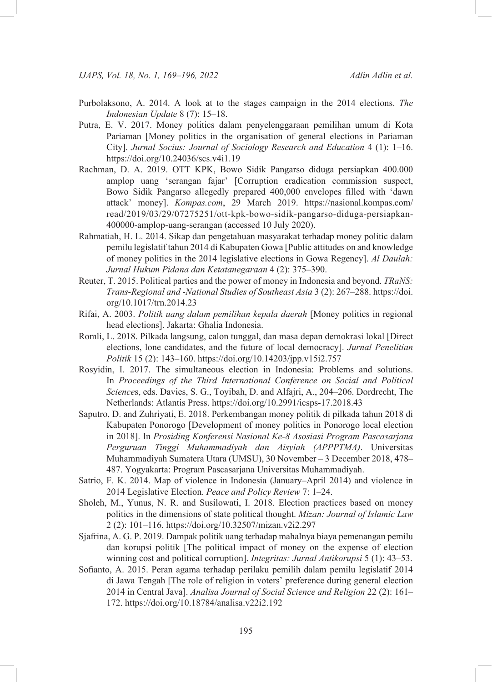- Purbolaksono, A. 2014. A look at to the stages campaign in the 2014 elections. *The Indonesian Update* 8 (7): 15–18.
- Putra, E. V. 2017. Money politics dalam penyelenggaraan pemilihan umum di Kota Pariaman [Money politics in the organisation of general elections in Pariaman City]. *Jurnal Socius: Journal of Sociology Research and Education* 4 (1): 1–16. <https://doi.org/10.24036/scs.v4i1.19>
- Rachman, D. A. 2019. OTT KPK, Bowo Sidik Pangarso diduga persiapkan 400.000 amplop uang 'serangan fajar' [Corruption eradication commission suspect, Bowo Sidik Pangarso allegedly prepared 400,000 envelopes filled with 'dawn attack' money]. *Kompas.com*, 29 March 2019. https://nasional.kompas.com/ read/2019/03/29/07275251/ott-kpk-bowo-sidik-pangarso-diduga-persiapkan-400000-amplop-uang-serangan (accessed 10 July 2020).
- Rahmatiah, H. L. 2014. Sikap dan pengetahuan masyarakat terhadap money politic dalam pemilu legislatif tahun 2014 di Kabupaten Gowa [Public attitudes on and knowledge of money politics in the 2014 legislative elections in Gowa Regency]. *Al Daulah: Jurnal Hukum Pidana dan Ketatanegaraan* 4 (2): 375–390.
- Reuter, T. 2015. Political parties and the power of money in Indonesia and beyond. *TRaNS: Trans-Regional and -National Studies of Southeast Asia* 3 (2): 267–288. [https://doi.](https://doi.org/10.1017/trn.2014.23) [org/10.1017/trn.2014.23](https://doi.org/10.1017/trn.2014.23)
- Rifai, A. 2003. *Politik uang dalam pemilihan kepala daerah* [Money politics in regional head elections]. Jakarta: Ghalia Indonesia.
- Romli, L. 2018. Pilkada langsung, calon tunggal, dan masa depan demokrasi lokal [Direct elections, lone candidates, and the future of local democracy]. *Jurnal Penelitian Politik* 15 (2): 143–160.<https://doi.org/10.14203/jpp.v15i2.757>
- Rosyidin, I. 2017. The simultaneous election in Indonesia: Problems and solutions. In Proceedings of the Third International Conference on Social and Political *Science*s, eds. Davies, S. G., Toyibah, D. and Alfajri, A., 204–206. Dordrecht, The Netherlands: Atlantis Press. <https://doi.org/10.2991/icsps-17.2018.43>
- Saputro, D. and Zuhriyati, E. 2018. Perkembangan money politik di pilkada tahun 2018 di Kabupaten Ponorogo [Development of money politics in Ponorogo local election in 2018]. In *Prosiding Konferensi Nasional Ke-8 Asosiasi Program Pascasarjana Perguruan Tinggi Muhammadiyah dan Aisyiah (APPPTMA)*. Universitas Muhammadiyah Sumatera Utara (UMSU), 30 November – 3 December 2018, 478– 487. Yogyakarta: Program Pascasarjana Universitas Muhammadiyah.
- Satrio, F. K. 2014. Map of violence in Indonesia (January–April 2014) and violence in 2014 Legislative Election. *Peace and Policy Review* 7: 1–24.
- Sholeh, M., Yunus, N. R. and Susilowati, I. 2018. Election practices based on money politics in the dimensions of state political thought. *Mizan: Journal of Islamic Law* 2 (2): 101–116.<https://doi.org/10.32507/mizan.v2i2.297>
- Sjafrina, A. G. P. 2019. Dampak politik uang terhadap mahalnya biaya pemenangan pemilu dan korupsi politik [The political impact of money on the expense of election winning cost and political corruption]. *Integritas: Jurnal Antikorupsi* 5 (1): 43–53.
- Sofianto, A. 2015. Peran agama terhadap perilaku pemilih dalam pemilu legislatif 2014 di Jawa Tengah [The role of religion in voters' preference during general election 2014 in Central Java]. *Analisa Journal of Social Science and Religion* 22 (2): 161– 172. <https://doi.org/10.18784/analisa.v22i2.192>